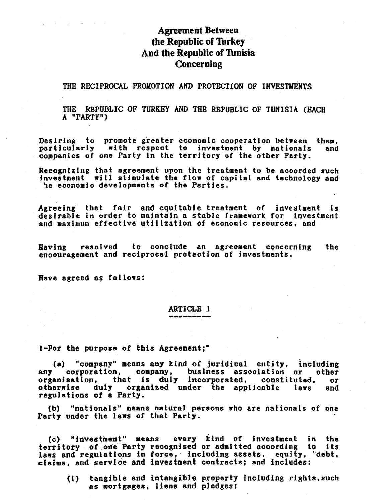# **Agreement Between** the Republic of Turkey And the Republic of Tunisia **Concerning**

## THE RECIPROCAL PROMOTION AND PROTECTION OF INVESTMENTS

THE REPUBLIC OF TURKEY AND THE REPUBLIC OF TUNISIA (BACH A "PARTY")

Desiring to promote greater economic cooperation between them,<br>particularly with respect to investment by nationals and and companies of one Party in the territory of the other Party.

Recognizing that agreement upon the treatment to be accorded such investment will stimulate the flow of capital and technology and he economic developments of the Parties.

Agreeing that fair and equitable treatment of investment  $\mathbf{1}$   $\mathbf{5}$ desirable in order to maintain a stable framework for investment and maximum effective utilization of economic resources, and

to conclude an agreement concerning Having resolved the encouragement and reciprocal protection of investments.

Have agreed as follows:

### **ARTICLE 1**

1-For the purpose of this Agreement;"

"company" means any kind of juridical entity, including  $(a)$ corporation, company, business association or other any organisation, that is duly incorporated, constituted. ōr otherwise duly organized under the applicable laws and regulations of a Party.

(b) "nationals" means natural persons who are nationals of one Party under the laws of that Party.

(c) "investment" means every kind of investment in the territory of one Party recognised or admitted according to its laws and regulations in force, including assets, equity, debt, claims, and service and investment contracts; and includes:

tangible and intangible property including rights, such  $(1)$ as mortgages, liens and pledges: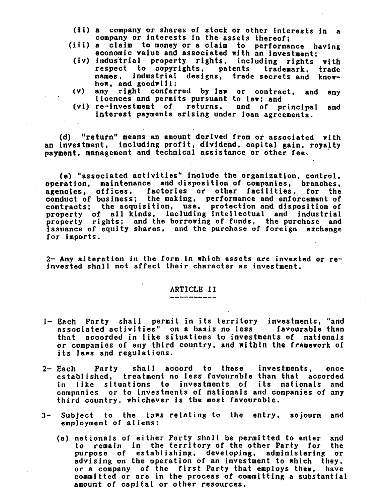- (ii) a company or shares of stock or other interests in a company or Interests in the assets thereof;
- (iii) a claim to money or a claim to performance having economic value and associated with. an investment;
	- (Iv) Induslrial property rights, including rights with ,respect to copyrights. patents trademark. trade names, industrial designs, trade secrets and know-<br>how, and goodwill:
- (v) any right conferred by law or contract, and any licences and permits pursuant to law; and
- (vi) re-investment of returns. and of principal and interest payments arising under loan agreements.

(d) "return" means an amount derived from or associated with an investment. including profit, dividend, capital gain, royalty payment, management and technical assistance or other fee.

(e) "associated activities" include the organization, control. operation, maintenance and disposition of companies, branches, agencies. offices. factories or otber facilities, for the conduct of business; the making, performance and enforcement of contracts; the acquisition, use. protection and disposition of property of all kinds, including intellectual and industrial property rights; and the borrowing of funds, the purchase and issuance of equity shares, and the purchase of foreign exchange for imports.

2- Any ,alteration in the form in wbjoh assets are invested or reinvested shall not affect their character as investment.

# ARTICLB II

 $\bar{\chi}$ 

- 1- Each Party shall permit in its territory investments, "and associated activities" on a basis no less favourable than that accorded in like situations to investments of nationals or companies of any third country, and within the framework of its laws and regulations.
- 2- Each Party shall accord to these investments. once established, treatment no less favourable than that accorded in like situntions to investments of its nationals and companies or to investments of nationals and companies of any third country. whichever is the most favourable.
- $3-$  Subject to the laws relating to the entry, sojourn and employment of aliens:
	- (a) nationals of either Party shall be permitted to enter and<br>to remain in the territory of the other Party for the to remain in the territory of the other Party for purpose of establishing, developing, administering or advising on the operation of an investment to which they. or a company of the first Party that employs them. have committed or are in the process of committing a substantial amount of capital or other resources.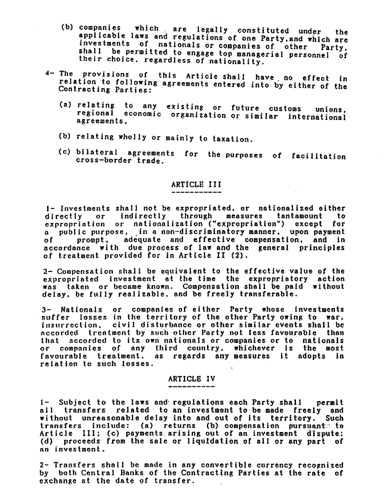- (b) companies which are legally constituted under the applicable laws and regulations of one Party, and which are investments of nationals or companies of other Party, shall be permitted to engage top managerial personnel of their choice, regardless of nationality.
- 4- The provisions of this Article shall have no effect in relation to following agreements entered into by either of the Contracting Parties:
	- (a) relating to any existing or future customs unions. regional economic organization or similar international agreements.
	- (b) relating wholly or mainly to taxation.
	- (c) bilateral agreements for the purposes of facilitation cross-border trade.

## ARTICLE III

1- Investments shall not be expropriated, or nationalized either directly or indirectly through measures tantamount to expropriation or nationalization ("expropriation") except for a public purpose, in a non-discriminatory manner, upon payment prompt, adequate and effective compensation, and in o f accordance with due process of law and the general principles of treatment provided for in Article II (2).

2- Compensation shall be equivalent to the effective value of the expropriated investment at the time the expropriatory action was taken or became known. Compensation shall be paid without delay, be fully realizable, and be freely transferable.

3- Nationals or companies of either Party whose investments suffer losses in the territory of the other Party owing to war, insurrection, civil disturbance or other similar events shall be accorded treatment by such other Party not less favourable than that accorded to its own nationals or companies or to nationals or companies of any third country, whichever is the most favourable treatment, as regards any measures it adopts in relation to such losses.

### ARTICLE IV

1- Subject to the laws and regulations each Party shall permit all transfers related to an investment to be made freely and without unreasonable delay into and out of its territory. Such transfers include: (a) returns (b) compensation pursuant to Article III; (c) payments arising out of an investment dispute; (d) proceeds from the sale or liquidation of all or any part of an investment.

2- Transfers shall be made in any convertible currency recognized by both Central Banks of the Contracting Parties at the rate of exchange at the date of transfer.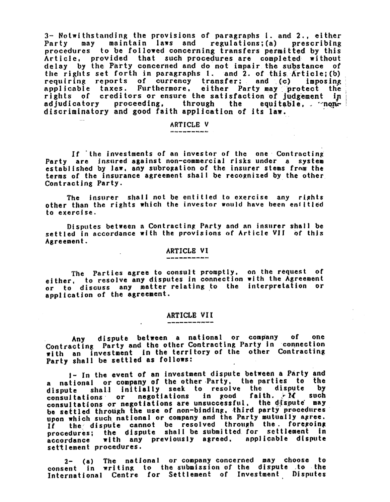3- Notwithstanding the provisions of paragraphs 1. and 2., either<br>Party – may – maintain laws and – regulations;(a) – prescribing procedures to be followed concerning transfers permitted by this Article, provided that such procedures are completed without delay by the Party concerned and do not impair the substance of the rights set forth in paragraphs 1. and 2. of this Article; (b) requiring reports of currency transfer; and (c) imposing applicable taxes. Furthermore, either Party may protect the rights of creditors or ensure the satisfaction of judgement in adjudicatory proceeding, through the equitable, ... nondiscriminatory and good faith application of its law.

# ARTICLE V

If the investments of an investor of the one Contracting<br>Party are insured against non-commercial risks under a system Party are insured against non-commercial risks under a system established by law, any subrogation of the insurer stems from the terms of the insurance agreement shall be recognized by the other. Contracting Party.

The insurer shall not be entitled to exercise any rights other than the rights which the investor would have been entitled to exercise.

Disputes between a Contracting Party and an insurer shall be settled in accordance with the provisions of Article VII of this Agreement.

### ARTICLE VI

The Parties agree to consult promptly, on the request of either, to resolve any disputes in connection with the Agreement or to discuss any matter relating to the Interpretation or application ot the agreement. The Parties agree to consult promptly, on the request of

### ARTICLE VII

Any dispute between a national or company of one Contracting Party and the other Contracting Party In connection with an investment in the territory of the other Contracting Party shall be settled as follows:

1- In the event of an investment dispute between a Party and a national or company of the other Party, the parties to the dispute shall initially seek to resolve the dispute by consultations or negotiations in good faith.  $N$  such consultations or negotiations are unsuccessful. the dispute may<br>be settled through the use of non-binding, third party procedures<br>upon which such national or company and the Party mutually agree.<br>If the dispute cannot be r procedures; the dispute shall be submitted for settlement in accordance with any previously agreed, applicable dispute settlement procedures.

2- (a) The national or company concerned may choose to consent in writing to the submission of the dispute .to the International Centre for Settlement of Investment Disputes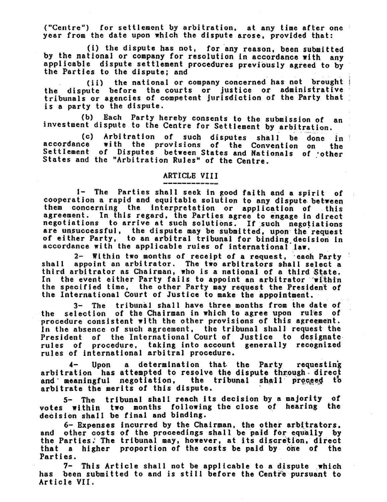("Centre") for settlement by arbitration, at any time after one year trom the date upon which the dispute arose. provided that:

(i) the dispute has not. for any reason, been submitted<br>by the national or company for resolution in accordance with any applicable dispute settlement procedures previously agreed to by the Parties to the dispute: and

(ii) the national or company concerned has not brought the dispute before the courts or justioe or administrative tribunals or agencies of competent jurisdiction of the Party that is a party to the dispute.

(b) Each Party hereby consents to the submIssion of an investment dispute to the Centre for Settlement by arbitration.

(0) Arbitration *ot* sucb disputes shall be done in accordance with the provisions of the Convention on the Settlement of Disputes between States and Nationals of **other** States and the "Arbitration Rules" of the Centre.

## ARTICLE VIII

1- The Parties shall seek in good faith and a spirit of cooperation a rapid and equitable solution to any dispute between<br>them concerning the interpretation or application of this them concerning the interpretation or application of agreement. In this regard, the Parties agree to engage in direct negotiations to arrive at such solutions. If such negotiations are unsuccessful, the dispute may be submitted, upon the request of either Party, to an arbitral tribunal for binding decision in accordance with the applicable rules of international law.

2- Within two months of receipt of a request, each Party  $\frac{1}{2}$  shall appoint an arbitrator. The two arbitrators shall select a third arbitrator as Chairman, who is a national of a third State. In the event either Party fails to appoint an arbitrator within the specified time. the other Party may request the President of the International Court of Justice to make the appointment.

3- The tribunal shall have three months trom the date or the selection of the Chairman in which to agree upon rules of procedure consistent with the other provisions of this agreement. In the absence of such agreement, the tribunal shall request the President of the International Court of Justice to designate rules of procedure. taking into account generally recognized rules of international arbitral procedure.

4- Upon a determination that the Party requesting arbitration has attempted to resolve the dispute through direct 1 arbitration has attempted to resolve the dispute through direct<br>and meaningful negotiation. the tribunal shall proceed to arbitrate the merits of this dispute.

5- The tribunal shall reach 1ts decision by a majority *ot*  votes within two months following the close of hearing the decision shall be final and binding.

6- Expenses incurred by the Chairman, the other arbitrators.<br>other costs of the proceedings shall be paid for equally by and other costs of the proceedings shall be paid for equally by the Parties.' The tribunal may, however, at its discretion, direct that a higher proportion of the costs be paid by one of the Parties.<br>7-

This Article shall not be applicable to a dispute.which has been submitted to and is still before the Centre pursuant to Article VII.